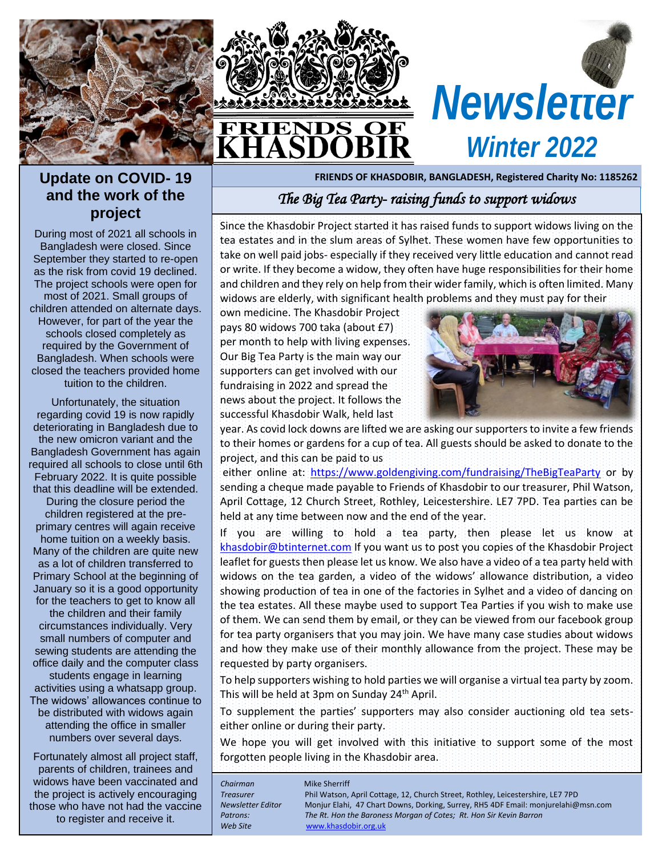





#### **Update on COVID- 19 and the work of the project**

During most of 2021 all schools in Bangladesh were closed. Since September they started to re-open as the risk from covid 19 declined. The project schools were open for most of 2021. Small groups of children attended on alternate days. However, for part of the year the schools closed completely as required by the Government of Bangladesh. When schools were closed the teachers provided home tuition to the children.

Unfortunately, the situation regarding covid 19 is now rapidly deteriorating in Bangladesh due to the new omicron variant and the Bangladesh Government has again required all schools to close until 6th February 2022. It is quite possible that this deadline will be extended. During the closure period the children registered at the preprimary centres will again receive home tuition on a weekly basis. Many of the children are quite new as a lot of children transferred to Primary School at the beginning of January so it is a good opportunity for the teachers to get to know all the children and their family circumstances individually. Very small numbers of computer and sewing students are attending the office daily and the computer class students engage in learning activities using a whatsapp group. The widows' allowances continue to be distributed with widows again attending the office in smaller numbers over several days.

Fortunately almost all project staff, parents of children, trainees and widows have been vaccinated and the project is actively encouraging those who have not had the vaccine to register and receive it.

### *The Big Tea Party- raising funds to support widows*

Since the Khasdobir Project started it has raised funds to support widows living on the tea estates and in the slum areas of Sylhet. These women have few opportunities to take on well paid jobs- especially if they received very little education and cannot read or write. If they become a widow, they often have huge responsibilities for their home and children and they rely on help from their wider family, which is often limited. Many widows are elderly, with significant health problems and they must pay for their

own medicine. The Khasdobir Project pays 80 widows 700 taka (about £7) per month to help with living expenses. Our Big Tea Party is the main way our supporters can get involved with our fundraising in 2022 and spread the news about the project. It follows the successful Khasdobir Walk, held last



year. As covid lock downs are lifted we are asking our supporters to invite a few friends to their homes or gardens for a cup of tea. All guests should be asked to donate to the project, and this can be paid to us

either online at: <https://www.goldengiving.com/fundraising/TheBigTeaParty> or by sending a cheque made payable to Friends of Khasdobir to our treasurer, Phil Watson, April Cottage, 12 Church Street, Rothley, Leicestershire. LE7 7PD. Tea parties can be held at any time between now and the end of the year.

If you are willing to hold a tea party, then please let us know at [khasdobir@btinternet.com](mailto:khasdobir@btinternet.com) If you want us to post you copies of the Khasdobir Project leaflet for guests then please let us know. We also have a video of a tea party held with widows on the tea garden, a video of the widows' allowance distribution, a video showing production of tea in one of the factories in Sylhet and a video of dancing on the tea estates. All these maybe used to support Tea Parties if you wish to make use of them. We can send them by email, or they can be viewed from our facebook group for tea party organisers that you may join. We have many case studies about widows and how they make use of their monthly allowance from the project. These may be requested by party organisers.

To help supporters wishing to hold parties we will organise a virtual tea party by zoom. This will be held at 3pm on Sunday 24th April.

To supplement the parties' supporters may also consider auctioning old tea setseither online or during their party.

We hope you will get involved with this initiative to support some of the most forgotten people living in the Khasdobir area.

| Mike Sherriff<br>Phil Watson, April Cottage, 12, Church Street, Rothley, Leicestershire, LE7 7PD<br>Monjur Elahi, 47 Chart Downs, Dorking, Surrey, RH5 4DF Email: monjurelahi@msn.com<br>The Rt. Hon the Baroness Morgan of Cotes; Rt. Hon Sir Kevin Barron<br>www.khasdobir.org.uk |
|-------------------------------------------------------------------------------------------------------------------------------------------------------------------------------------------------------------------------------------------------------------------------------------|
|                                                                                                                                                                                                                                                                                     |
|                                                                                                                                                                                                                                                                                     |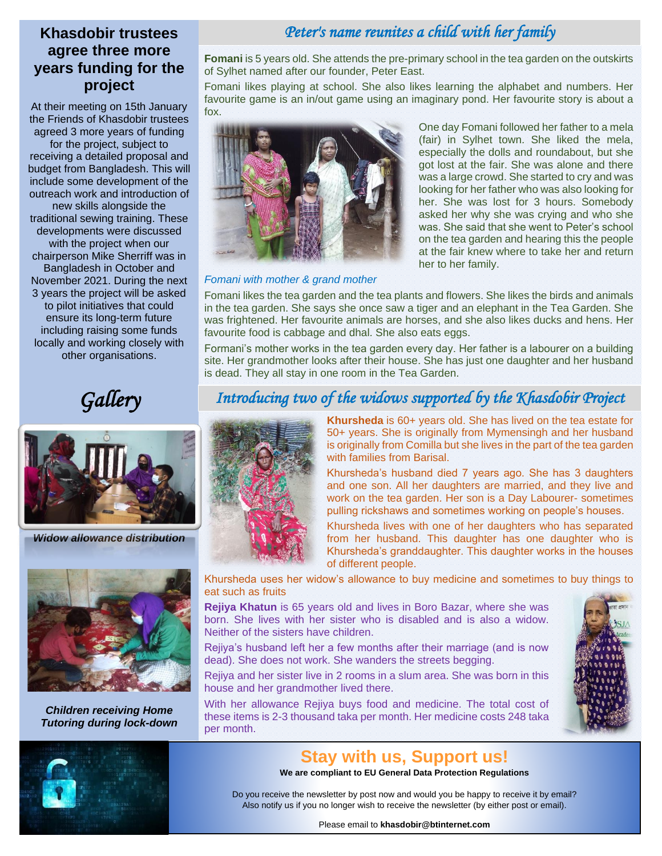## *set the stage >>>* **agree three more years funding for the project**

receiving a detailed proposal and *erat nostr uexerci tation*  include some development of the outreach work and introduction of new skills alongside the developments were discussed with the project when our At their meeting on 15th January the Friends of Khasdobir trustees agreed 3 more years of funding for the project, subject to budget from Bangladesh. This will traditional sewing training. These chairperson Mike Sherriff was in Bangladesh in October and November 2021. During the next 3 years the project will be asked to pilot initiatives that could ensure its long-term future including raising some funds locally and working closely with other organisations.

### **Khasdobir trustees** *Peter's name reunites a child with her family*

**Fomani** is 5 years old. She attends the pre-primary school in the tea garden on the outskirts of Sylhet named after our founder, Peter East.

Fomani likes playing at school. She also likes learning the alphabet and numbers. Her favourite game is an in/out game using an imaginary pond. Her favourite story is about a fox.



#### *Fomani with mother & grand mother*

especially the dolls and roundabout, but she got lost at the fair. She was alone and there was a large crowd. She started to cry and was looking for her father who was also looking for her. She was lost for 3 hours. Somebody asked her why she was crying and who she was. She said that she went to Peter's school on the tea garden and hearing this the people at the fair knew where to take her and return her to her family.

One day Fomani followed her father to a mela (fair) in Sylhet town. She liked the mela,

Fomani likes the tea garden and the tea plants and flowers. She likes the birds and animals in the tea garden. She says she once saw a tiger and an elephant in the Tea Garden. She was frightened. Her favourite animals are horses, and she also likes ducks and hens. Her favourite food is cabbage and dhal. She also eats eggs.

Formani's mother works in the tea garden every day. Her father is a labourer on a building site. Her grandmother looks after their house. She has just one daughter and her husband is dead. They all stay in one room in the Tea Garden.

*Gallery*



*Widow allowance distribution*



*Children receiving Home Tutoring during lock-down*

### *Introducing two of the widows supported by the Khasdobir Project*



**Khursheda** is 60+ years old. She has lived on the tea estate for 50+ years. She is originally from Mymensingh and her husband is originally from Comilla but she lives in the part of the tea garden with families from Barisal.

Khursheda's husband died 7 years ago. She has 3 daughters and one son. All her daughters are married, and they live and work on the tea garden. Her son is a Day Labourer- sometimes pulling rickshaws and sometimes working on people's houses.

Khursheda lives with one of her daughters who has separated from her husband. This daughter has one daughter who is Khursheda's granddaughter. This daughter works in the houses of different people.

Khursheda uses her widow's allowance to buy medicine and sometimes to buy things to eat such as fruits

**Rejiya Khatun** is 65 years old and lives in Boro Bazar, where she was born. She lives with her sister who is disabled and is also a widow. Neither of the sisters have children.

Rejiya's husband left her a few months after their marriage (and is now dead). She does not work. She wanders the streets begging.

Rejiya and her sister live in 2 rooms in a slum area. She was born in this house and her grandmother lived there.

With her allowance Rejiya buys food and medicine. The total cost of these items is 2-3 thousand taka per month. Her medicine costs 248 taka per month.





#### **Stay with us, Support us!**

**We are compliant to EU General Data Protection Regulations**

Do you receive the newsletter by post now and would you be happy to receive it by email? Also notify us if you no longer wish to receive the newsletter (by either post or email).

Please email to **khasdobir@btinternet.com**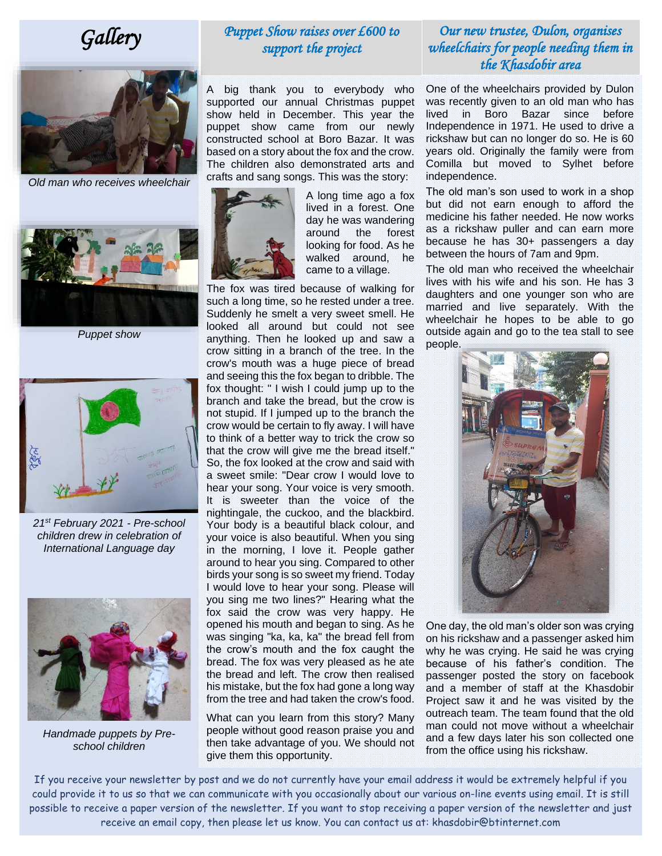# *Gallery*



*Old man who receives wheelchair*



*Puppet show*



*21st February 2021 - Pre-school children drew in celebration of International Language day*



*Handmade puppets by Preschool children*

#### *Puppet Show raises over £600 to support the project*

A big thank you to everybody who supported our annual Christmas puppet show held in December. This year the puppet show came from our newly constructed school at Boro Bazar. It was based on a story about the fox and the crow. The children also demonstrated arts and crafts and sang songs. This was the story:



A long time ago a fox lived in a forest. One day he was wandering around the forest looking for food. As he walked around, he came to a village.

The fox was tired because of walking for such a long time, so he rested under a tree. Suddenly he smelt a very sweet smell. He looked all around but could not see anything. Then he looked up and saw a crow sitting in a branch of the tree. In the crow's mouth was a huge piece of bread and seeing this the fox began to dribble. The fox thought: " I wish I could jump up to the branch and take the bread, but the crow is not stupid. If I jumped up to the branch the crow would be certain to fly away. I will have to think of a better way to trick the crow so that the crow will give me the bread itself." So, the fox looked at the crow and said with a sweet smile: "Dear crow I would love to hear your song. Your voice is very smooth. It is sweeter than the voice of the nightingale, the cuckoo, and the blackbird. Your body is a beautiful black colour, and your voice is also beautiful. When you sing in the morning, I love it. People gather around to hear you sing. Compared to other birds your song is so sweet my friend. Today I would love to hear your song. Please will you sing me two lines?" Hearing what the fox said the crow was very happy. He opened his mouth and began to sing. As he was singing "ka, ka, ka" the bread fell from the crow's mouth and the fox caught the bread. The fox was very pleased as he ate the bread and left. The crow then realised his mistake, but the fox had gone a long way from the tree and had taken the crow's food.

What can you learn from this story? Many people without good reason praise you and then take advantage of you. We should not give them this opportunity.

#### *Our new trustee, Dulon, organises wheelchairs for people needing them in the Khasdobir area*

One of the wheelchairs provided by Dulon was recently given to an old man who has lived in Boro Bazar since before Independence in 1971. He used to drive a rickshaw but can no longer do so. He is 60 years old. Originally the family were from Comilla but moved to Sylhet before independence.

The old man's son used to work in a shop but did not earn enough to afford the medicine his father needed. He now works as a rickshaw puller and can earn more because he has 30+ passengers a day between the hours of 7am and 9pm.

The old man who received the wheelchair lives with his wife and his son. He has 3 daughters and one younger son who are married and live separately. With the wheelchair he hopes to be able to go outside again and go to the tea stall to see people.



One day, the old man's older son was crying on his rickshaw and a passenger asked him why he was crying. He said he was crying because of his father's condition. The passenger posted the story on facebook and a member of staff at the Khasdobir Project saw it and he was visited by the outreach team. The team found that the old man could not move without a wheelchair and a few days later his son collected one from the office using his rickshaw.

If you receive your newsletter by post and we do not currently have your email address it would be extremely helpful if you could provide it to us so that we can communicate with you occasionally about our various on-line events using email. It is still possible to receive a paper version of the newsletter. If you want to stop receiving a paper version of the newsletter and just receive an email copy, then please let us know. You can contact us at: khasdobir@btinternet.com